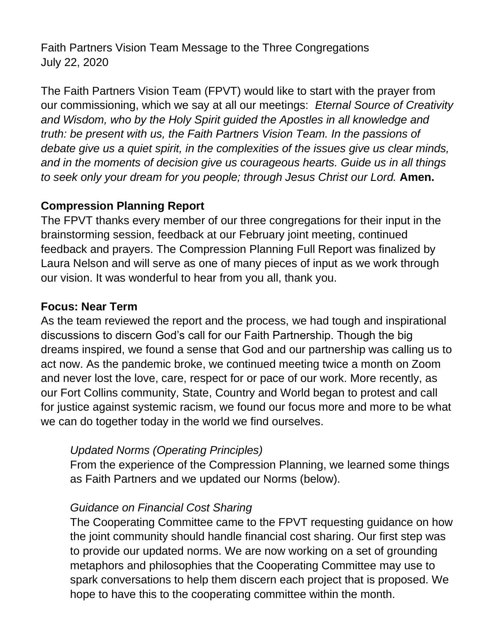Faith Partners Vision Team Message to the Three Congregations July 22, 2020

The Faith Partners Vision Team (FPVT) would like to start with the prayer from our commissioning, which we say at all our meetings: *Eternal Source of Creativity and Wisdom, who by the Holy Spirit guided the Apostles in all knowledge and truth: be present with us, the Faith Partners Vision Team. In the passions of debate give us a quiet spirit, in the complexities of the issues give us clear minds, and in the moments of decision give us courageous hearts. Guide us in all things to seek only your dream for you people; through Jesus Christ our Lord.* **Amen.**

#### **Compression Planning Report**

The FPVT thanks every member of our three congregations for their input in the brainstorming session, feedback at our February joint meeting, continued feedback and prayers. The Compression Planning Full Report was finalized by Laura Nelson and will serve as one of many pieces of input as we work through our vision. It was wonderful to hear from you all, thank you.

#### **Focus: Near Term**

As the team reviewed the report and the process, we had tough and inspirational discussions to discern God's call for our Faith Partnership. Though the big dreams inspired, we found a sense that God and our partnership was calling us to act now. As the pandemic broke, we continued meeting twice a month on Zoom and never lost the love, care, respect for or pace of our work. More recently, as our Fort Collins community, State, Country and World began to protest and call for justice against systemic racism, we found our focus more and more to be what we can do together today in the world we find ourselves.

# *Updated Norms (Operating Principles)*

From the experience of the Compression Planning, we learned some things as Faith Partners and we updated our Norms (below).

# *Guidance on Financial Cost Sharing*

The Cooperating Committee came to the FPVT requesting guidance on how the joint community should handle financial cost sharing. Our first step was to provide our updated norms. We are now working on a set of grounding metaphors and philosophies that the Cooperating Committee may use to spark conversations to help them discern each project that is proposed. We hope to have this to the cooperating committee within the month.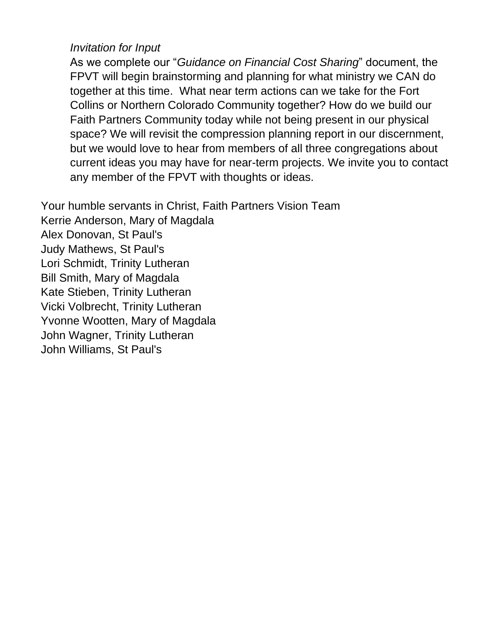#### *Invitation for Input*

As we complete our "*Guidance on Financial Cost Sharing*" document, the FPVT will begin brainstorming and planning for what ministry we CAN do together at this time. What near term actions can we take for the Fort Collins or Northern Colorado Community together? How do we build our Faith Partners Community today while not being present in our physical space? We will revisit the compression planning report in our discernment, but we would love to hear from members of all three congregations about current ideas you may have for near-term projects. We invite you to contact any member of the FPVT with thoughts or ideas.

Your humble servants in Christ, Faith Partners Vision Team Kerrie Anderson, Mary of Magdala Alex Donovan, St Paul's Judy Mathews, St Paul's Lori Schmidt, Trinity Lutheran Bill Smith, Mary of Magdala Kate Stieben, Trinity Lutheran Vicki Volbrecht, Trinity Lutheran Yvonne Wootten, Mary of Magdala John Wagner, Trinity Lutheran John Williams, St Paul's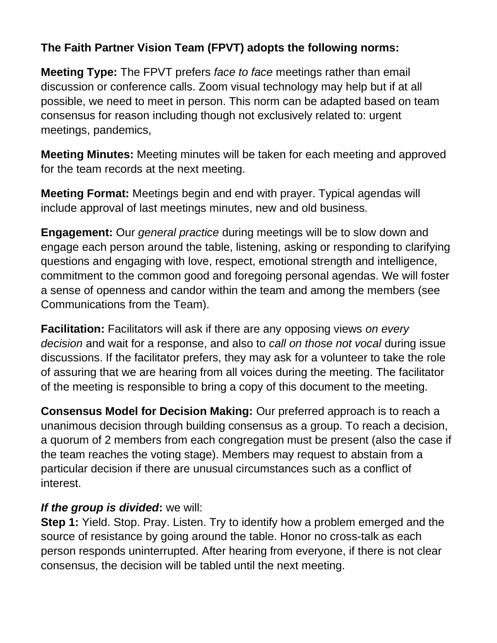# **The Faith Partner Vision Team (FPVT) adopts the following norms:**

**Meeting Type:** The FPVT prefers *face to face* meetings rather than email discussion or conference calls. Zoom visual technology may help but if at all possible, we need to meet in person. This norm can be adapted based on team consensus for reason including though not exclusively related to: urgent meetings, pandemics,

**Meeting Minutes:** Meeting minutes will be taken for each meeting and approved for the team records at the next meeting.

**Meeting Format:** Meetings begin and end with prayer. Typical agendas will include approval of last meetings minutes, new and old business.

**Engagement:** Our *general practice* during meetings will be to slow down and engage each person around the table, listening, asking or responding to clarifying questions and engaging with love, respect, emotional strength and intelligence, commitment to the common good and foregoing personal agendas. We will foster a sense of openness and candor within the team and among the members (see Communications from the Team).

**Facilitation:** Facilitators will ask if there are any opposing views *on every decision* and wait for a response, and also to *call on those not vocal* during issue discussions. If the facilitator prefers, they may ask for a volunteer to take the role of assuring that we are hearing from all voices during the meeting. The facilitator of the meeting is responsible to bring a copy of this document to the meeting.

**Consensus Model for Decision Making:** Our preferred approach is to reach a unanimous decision through building consensus as a group. To reach a decision, a quorum of 2 members from each congregation must be present (also the case if the team reaches the voting stage). Members may request to abstain from a particular decision if there are unusual circumstances such as a conflict of interest.

# *If the group is divided***:** we will:

**Step 1:** Yield. Stop. Pray. Listen. Try to identify how a problem emerged and the source of resistance by going around the table. Honor no cross-talk as each person responds uninterrupted. After hearing from everyone, if there is not clear consensus, the decision will be tabled until the next meeting.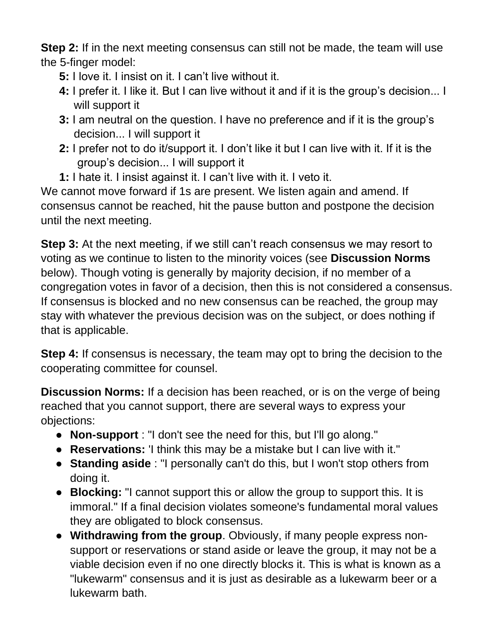**Step 2:** If in the next meeting consensus can still not be made, the team will use the 5-finger model:

- **5:** I love it. I insist on it. I can't live without it.
- **4:** I prefer it. I like it. But I can live without it and if it is the group's decision... I will support it
- **3:** I am neutral on the question. I have no preference and if it is the group's decision... I will support it
- **2:** I prefer not to do it/support it. I don't like it but I can live with it. If it is the group's decision... I will support it
- **1:** I hate it. I insist against it. I can't live with it. I veto it.

We cannot move forward if 1s are present. We listen again and amend. If consensus cannot be reached, hit the pause button and postpone the decision until the next meeting.

**Step 3:** At the next meeting, if we still can't reach consensus we may resort to voting as we continue to listen to the minority voices (see **Discussion Norms** below). Though voting is generally by majority decision, if no member of a congregation votes in favor of a decision, then this is not considered a consensus. If consensus is blocked and no new consensus can be reached, the group may stay with whatever the previous decision was on the subject, or does nothing if that is applicable.

**Step 4:** If consensus is necessary, the team may opt to bring the decision to the cooperating committee for counsel.

**Discussion Norms:** If a decision has been reached, or is on the verge of being reached that you cannot support, there are several ways to express your objections:

- **Non-support** : "I don't see the need for this, but I'll go along."
- **Reservations:** 'I think this may be a mistake but I can live with it."
- **Standing aside** : "I personally can't do this, but I won't stop others from doing it.
- **Blocking:** "I cannot support this or allow the group to support this. It is immoral." If a final decision violates someone's fundamental moral values they are obligated to block consensus.
- **Withdrawing from the group**. Obviously, if many people express nonsupport or reservations or stand aside or leave the group, it may not be a viable decision even if no one directly blocks it. This is what is known as a "lukewarm" consensus and it is just as desirable as a lukewarm beer or a lukewarm bath.